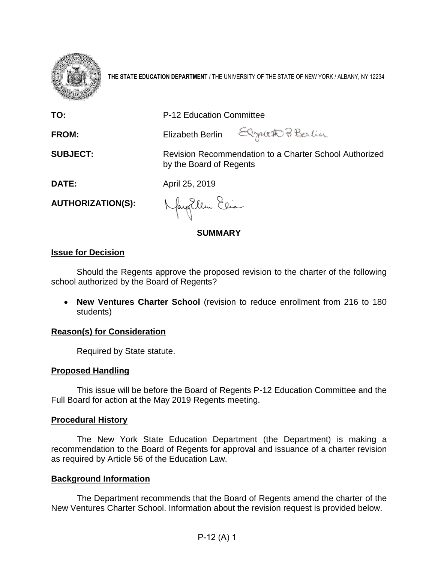

**THE STATE EDUCATION DEPARTMENT** / THE UNIVERSITY OF THE STATE OF NEW YORK / ALBANY, NY 12234

| TO:                       | P-12 Education Committee                                                          |
|---------------------------|-----------------------------------------------------------------------------------|
| FROM:                     | Elizabeth Berlin Elgateth Pi Berlin                                               |
| <b>SUBJECT:</b>           | Revision Recommendation to a Charter School Authorized<br>by the Board of Regents |
| <b>DATE:</b>              | April 25, 2019                                                                    |
| <b>AUTHORIZATION(S):</b>  | Nayorlem Eeia                                                                     |
|                           | <b>SUMMARY</b>                                                                    |
| <b>Issue for Decision</b> |                                                                                   |

Should the Regents approve the proposed revision to the charter of the following school authorized by the Board of Regents?

• **New Ventures Charter School** (revision to reduce enrollment from 216 to 180 students)

## **Reason(s) for Consideration**

Required by State statute.

## **Proposed Handling**

This issue will be before the Board of Regents P-12 Education Committee and the Full Board for action at the May 2019 Regents meeting.

### **Procedural History**

The New York State Education Department (the Department) is making a recommendation to the Board of Regents for approval and issuance of a charter revision as required by Article 56 of the Education Law.

### **Background Information**

The Department recommends that the Board of Regents amend the charter of the New Ventures Charter School. Information about the revision request is provided below.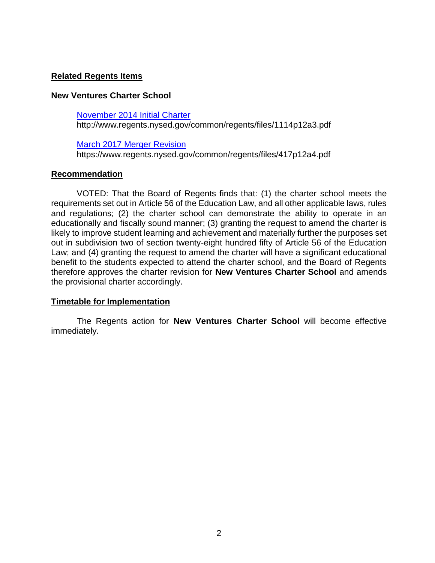# **Related Regents Items**

## **New Ventures Charter School**

## [November 2014 Initial Charter](http://www.regents.nysed.gov/common/regents/files/1114p12a3.pdf)

http://www.regents.nysed.gov/common/regents/files/1114p12a3.pdf

## [March 2017 Merger Revision](https://www.regents.nysed.gov/common/regents/files/417p12a4.pdf)

https://www.regents.nysed.gov/common/regents/files/417p12a4.pdf

## **Recommendation**

VOTED: That the Board of Regents finds that: (1) the charter school meets the requirements set out in Article 56 of the Education Law, and all other applicable laws, rules and regulations; (2) the charter school can demonstrate the ability to operate in an educationally and fiscally sound manner; (3) granting the request to amend the charter is likely to improve student learning and achievement and materially further the purposes set out in subdivision two of section twenty-eight hundred fifty of Article 56 of the Education Law; and (4) granting the request to amend the charter will have a significant educational benefit to the students expected to attend the charter school, and the Board of Regents therefore approves the charter revision for **New Ventures Charter School** and amends the provisional charter accordingly.

## **Timetable for Implementation**

The Regents action for **New Ventures Charter School** will become effective immediately.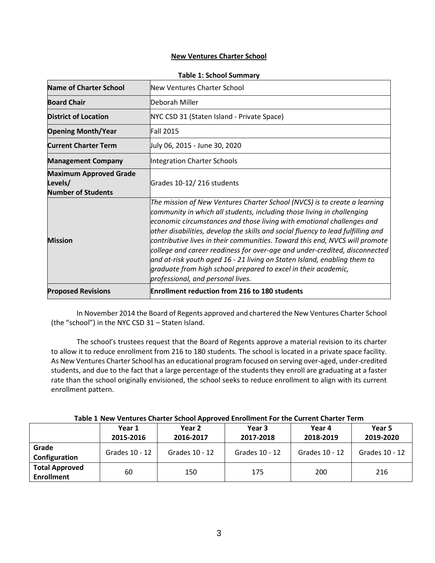#### **New Ventures Charter School**

| <b>Name of Charter School</b>                                         | New Ventures Charter School                                                                                                                                                                                                                                                                                                                                                                                                                                                                                                                                                                                                                                      |  |  |  |  |
|-----------------------------------------------------------------------|------------------------------------------------------------------------------------------------------------------------------------------------------------------------------------------------------------------------------------------------------------------------------------------------------------------------------------------------------------------------------------------------------------------------------------------------------------------------------------------------------------------------------------------------------------------------------------------------------------------------------------------------------------------|--|--|--|--|
| <b>Board Chair</b>                                                    | lDeborah Miller                                                                                                                                                                                                                                                                                                                                                                                                                                                                                                                                                                                                                                                  |  |  |  |  |
| <b>District of Location</b>                                           | NYC CSD 31 (Staten Island - Private Space)                                                                                                                                                                                                                                                                                                                                                                                                                                                                                                                                                                                                                       |  |  |  |  |
| <b>Fall 2015</b><br><b>Opening Month/Year</b>                         |                                                                                                                                                                                                                                                                                                                                                                                                                                                                                                                                                                                                                                                                  |  |  |  |  |
| <b>Current Charter Term</b>                                           | July 06, 2015 - June 30, 2020                                                                                                                                                                                                                                                                                                                                                                                                                                                                                                                                                                                                                                    |  |  |  |  |
| <b>Management Company</b>                                             | Integration Charter Schools                                                                                                                                                                                                                                                                                                                                                                                                                                                                                                                                                                                                                                      |  |  |  |  |
| <b>Maximum Approved Grade</b><br>Levels/<br><b>Number of Students</b> | Grades 10-12/216 students                                                                                                                                                                                                                                                                                                                                                                                                                                                                                                                                                                                                                                        |  |  |  |  |
| <b>Mission</b>                                                        | The mission of New Ventures Charter School (NVCS) is to create a learning<br>community in which all students, including those living in challenging<br>economic circumstances and those living with emotional challenges and<br>other disabilities, develop the skills and social fluency to lead fulfilling and<br>contributive lives in their communities. Toward this end, NVCS will promote<br>college and career readiness for over-age and under-credited, disconnected<br>and at-risk youth aged 16 - 21 living on Staten Island, enabling them to<br>graduate from high school prepared to excel in their academic,<br>professional, and personal lives. |  |  |  |  |
| <b>Proposed Revisions</b>                                             | <b>Enrollment reduction from 216 to 180 students</b>                                                                                                                                                                                                                                                                                                                                                                                                                                                                                                                                                                                                             |  |  |  |  |

#### **Table 1: School Summary**

In November 2014 the Board of Regents approved and chartered the New Ventures Charter School (the "school") in the NYC CSD 31 – Staten Island.

The school's trustees request that the Board of Regents approve a material revision to its charter to allow it to reduce enrollment from 216 to 180 students. The school is located in a private space facility. As New Ventures Charter School has an educational program focused on serving over-aged, under-credited students, and due to the fact that a large percentage of the students they enroll are graduating at a faster rate than the school originally envisioned, the school seeks to reduce enrollment to align with its current enrollment pattern.

|                                            | Year 1<br>2015-2016 | Year 2<br>2016-2017 | Year 3<br>2017-2018 | Year 4<br>2018-2019 | Year 5<br>2019-2020 |
|--------------------------------------------|---------------------|---------------------|---------------------|---------------------|---------------------|
| Grade<br>Configuration                     | Grades 10 - 12      | Grades 10 - 12      | Grades 10 - 12      | Grades 10 - 12      | Grades 10 - 12      |
| <b>Total Approved</b><br><b>Enrollment</b> | 60                  | 150                 | 175                 | 200                 | 216                 |

|  | Table 1 New Ventures Charter School Approved Enrollment For the Current Charter Term |
|--|--------------------------------------------------------------------------------------|
|--|--------------------------------------------------------------------------------------|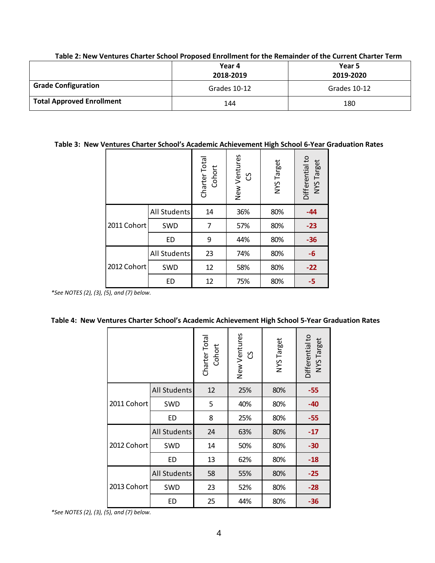|                                  | Year 4<br>2018-2019 | Year 5<br>2019-2020 |
|----------------------------------|---------------------|---------------------|
| <b>Grade Configuration</b>       | Grades 10-12        | Grades 10-12        |
| <b>Total Approved Enrollment</b> | 144                 | 180                 |

#### **Table 2: New Ventures Charter School Proposed Enrollment for the Remainder of the Current Charter Term**

## **Table 3: New Ventures Charter School's Academic Achievement High School 6-Year Graduation Rates**

|             |              | Charter Total<br>Cohort | New Ventures<br>უ | NYS Target | Differential to<br>NYS Target |  |
|-------------|--------------|-------------------------|-------------------|------------|-------------------------------|--|
| 2011 Cohort | All Students | 14                      | 36%               | 80%        | $-44$                         |  |
|             | SWD          | 7                       | 57%               | 80%        | $-23$                         |  |
|             | ED           | 9                       | 44%               | 80%        | $-36$                         |  |
| 2012 Cohort | All Students | 23                      | 74%               | 80%        | $-6$                          |  |
|             | SWD          | 12                      | 58%               | 80%        | $-22$                         |  |
|             | ED           | 12                      | 75%               | 80%        | $-5$                          |  |

*\*See NOTES (2), (3), (5), and (7) below.*

#### **Table 4: New Ventures Charter School's Academic Achievement High School 5-Year Graduation Rates**

|             |                     | Charter Tota<br>Cohort | New Ventures<br>უ | NYS Target | Differential to<br>NYS Target |
|-------------|---------------------|------------------------|-------------------|------------|-------------------------------|
|             | All Students        | 12                     | 25%               | 80%        | -55                           |
| 2011 Cohort | <b>SWD</b>          | 5                      | 40%               | 80%        | $-40$                         |
|             | ED                  | 8                      | 25%               | 80%        | $-55$                         |
| 2012 Cohort | <b>All Students</b> | 24                     | 63%               | 80%        | $-17$                         |
|             | <b>SWD</b>          | 14                     | 50%               | 80%        | $-30$                         |
|             | <b>ED</b>           | 13                     | 62%               | 80%        | $-18$                         |
| 2013 Cohort | <b>All Students</b> | 58                     | 55%               | 80%        | $-25$                         |
|             | <b>SWD</b>          | 23                     | 52%               | 80%        | $-28$                         |
|             | <b>ED</b>           | 25                     | 44%               | 80%        | -36                           |

*\*See NOTES (2), (3), (5), and (7) below.*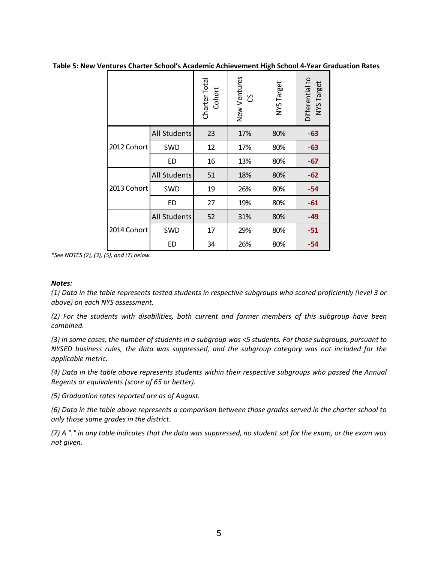**Table 5: New Ventures Charter School's Academic Achievement High School 4-Year Graduation Rates**

|             |                     | Charter Tota<br>Cohort | New Ventures<br>უ | NYS Target | Differential to<br>NYS Target |
|-------------|---------------------|------------------------|-------------------|------------|-------------------------------|
|             | <b>All Students</b> | 23                     | 17%               | 80%        | -63                           |
| 2012 Cohort | <b>SWD</b>          | 12                     | 17%               | 80%        | -63                           |
|             | ED                  | 16                     | 13%               | 80%        | $-67$                         |
|             | All Students        | 51                     | 18%               | 80%        | $-62$                         |
| 2013 Cohort | SWD                 | 19                     | 26%               | 80%        | -54                           |
|             | ED                  | 27                     | 19%               | 80%        | $-61$                         |
| 2014 Cohort | All Students        | 52                     | 31%               | 80%        | -49                           |
|             | SWD                 | 17                     | 29%               | 80%        | $-51$                         |
|             | ED                  | 34                     | 26%               | 80%        | $-54$                         |

*\*See NOTES (2), (3), (5), and (7) below.*

#### *Notes:*

*(1) Data in the table represents tested students in respective subgroups who scored proficiently (level 3 or above) on each NYS assessment.*

*(2) For the students with disabilities, both current and former members of this subgroup have been combined.*

*(3) In some cases, the number of students in a subgroup was <5 students. For those subgroups, pursuant to NYSED business rules, the data was suppressed, and the subgroup category was not included for the applicable metric.*

*(4) Data in the table above represents students within their respective subgroups who passed the Annual Regents or equivalents (score of 65 or better).*

*(5) Graduation rates reported are as of August.*

*(6) Data in the table above represents a comparison between those grades served in the charter school to only those same grades in the district.*

*(7) A "." in any table indicates that the data was suppressed, no student sat for the exam, or the exam was not given.*